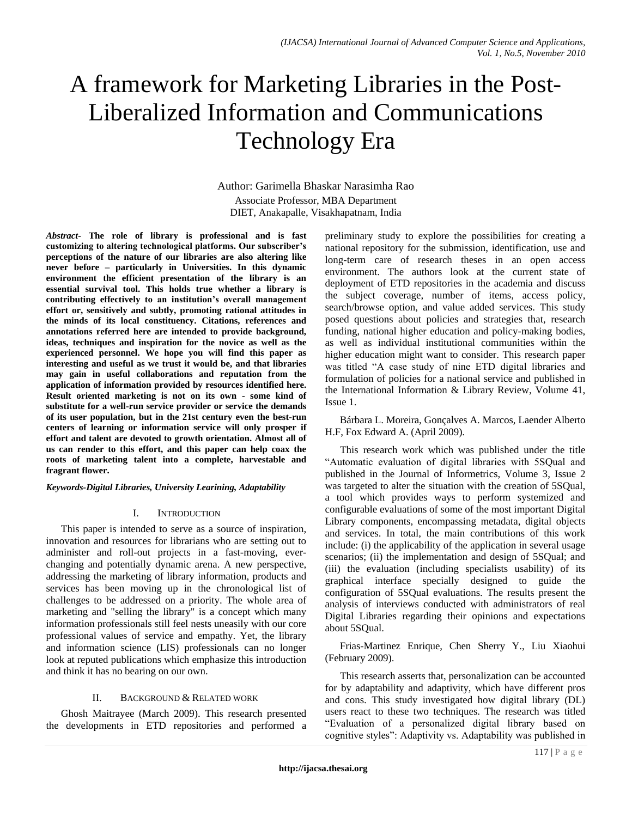# A framework for Marketing Libraries in the Post-Liberalized Information and Communications Technology Era

Author: Garimella Bhaskar Narasimha Rao Associate Professor, MBA Department DIET, Anakapalle, Visakhapatnam, India

*Abstract-* **The role of library is professional and is fast customizing to altering technological platforms. Our subscriber's perceptions of the nature of our libraries are also altering like never before – particularly in Universities. In this dynamic environment the efficient presentation of the library is an essential survival tool. This holds true whether a library is contributing effectively to an institution's overall management effort or, sensitively and subtly, promoting rational attitudes in the minds of its local constituency. Citations, references and annotations referred here are intended to provide background, ideas, techniques and inspiration for the novice as well as the experienced personnel. We hope you will find this paper as interesting and useful as we trust it would be, and that libraries may gain in useful collaborations and reputation from the application of information provided by resources identified here. Result oriented marketing is not on its own - some kind of substitute for a well-run service provider or service the demands of its user population, but in the 21st century even the best-run centers of learning or information service will only prosper if effort and talent are devoted to growth orientation. Almost all of us can render to this effort, and this paper can help coax the roots of marketing talent into a complete, harvestable and fragrant flower.** 

*Keywords-Digital Libraries, University Learining, Adaptability*

### I. INTRODUCTION

This paper is intended to serve as a source of inspiration, innovation and resources for librarians who are setting out to administer and roll-out projects in a fast-moving, everchanging and potentially dynamic arena. A new perspective, addressing the marketing of library information, products and services has been moving up in the chronological list of challenges to be addressed on a priority. The whole area of marketing and "selling the library" is a concept which many information professionals still feel nests uneasily with our core professional values of service and empathy. Yet, the library and information science (LIS) professionals can no longer look at reputed publications which emphasize this introduction and think it has no bearing on our own.

### II. BACKGROUND & RELATED WORK

Ghosh Maitrayee (March 2009). This research presented the developments in ETD repositories and performed a preliminary study to explore the possibilities for creating a national repository for the submission, identification, use and long-term care of research theses in an open access environment. The authors look at the current state of deployment of ETD repositories in the academia and discuss the subject coverage, number of items, access policy, search/browse option, and value added services. This study posed questions about policies and strategies that, research funding, national higher education and policy-making bodies, as well as individual institutional communities within the higher education might want to consider. This research paper was titled "A case study of nine ETD digital libraries and formulation of policies for a national service and published in the International Information & Library Review, Volume 41, Issue 1.

Bárbara L. Moreira, Gonçalves A. Marcos, Laender Alberto H.F, Fox Edward A. (April 2009).

This research work which was published under the title "Automatic evaluation of digital libraries with 5SQual and published in the Journal of Informetrics, Volume 3, Issue 2 was targeted to alter the situation with the creation of 5SQual, a tool which provides ways to perform systemized and configurable evaluations of some of the most important Digital Library components, encompassing metadata, digital objects and services. In total, the main contributions of this work include: (i) the applicability of the application in several usage scenarios; (ii) the implementation and design of 5SQual; and (iii) the evaluation (including specialists usability) of its graphical interface specially designed to guide the configuration of 5SQual evaluations. The results present the analysis of interviews conducted with administrators of real Digital Libraries regarding their opinions and expectations about 5SQual.

Frias-Martinez Enrique, Chen Sherry Y., Liu Xiaohui (February 2009).

This research asserts that, personalization can be accounted for by adaptability and adaptivity, which have different pros and cons. This study investigated how digital library (DL) users react to these two techniques. The research was titled "Evaluation of a personalized digital library based on cognitive styles": Adaptivity vs. Adaptability was published in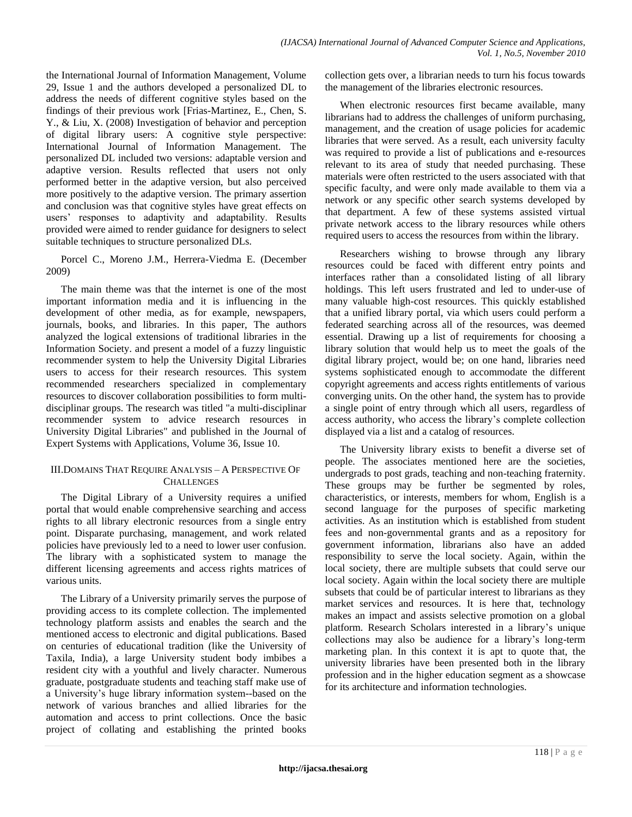the International Journal of Information Management, Volume 29, Issue 1 and the authors developed a personalized DL to address the needs of different cognitive styles based on the findings of their previous work [Frias-Martinez, E., Chen, S. Y., & Liu, X. (2008) Investigation of behavior and perception of digital library users: A cognitive style perspective: International Journal of Information Management. The personalized DL included two versions: adaptable version and adaptive version. Results reflected that users not only performed better in the adaptive version, but also perceived more positively to the adaptive version. The primary assertion and conclusion was that cognitive styles have great effects on users" responses to adaptivity and adaptability. Results provided were aimed to render guidance for designers to select suitable techniques to structure personalized DLs.

Porcel C., Moreno J.M., Herrera-Viedma E. (December 2009)

The main theme was that the internet is one of the most important information media and it is influencing in the development of other media, as for example, newspapers, journals, books, and libraries. In this paper, The authors analyzed the logical extensions of traditional libraries in the Information Society. and present a model of a fuzzy linguistic recommender system to help the University Digital Libraries users to access for their research resources. This system recommended researchers specialized in complementary resources to discover collaboration possibilities to form multidisciplinar groups. The research was titled "a multi-disciplinar recommender system to advice research resources in University Digital Libraries" and published in the Journal of Expert Systems with Applications, Volume 36, Issue 10.

## III.DOMAINS THAT REQUIRE ANALYSIS – A PERSPECTIVE OF **CHALLENGES**

The Digital Library of a University requires a unified portal that would enable comprehensive searching and access rights to all library electronic resources from a single entry point. Disparate purchasing, management, and work related policies have previously led to a need to lower user confusion. The library with a sophisticated system to manage the different licensing agreements and access rights matrices of various units.

The Library of a University primarily serves the purpose of providing access to its complete collection. The implemented technology platform assists and enables the search and the mentioned access to electronic and digital publications. Based on centuries of educational tradition (like the University of Taxila, India), a large University student body imbibes a resident city with a youthful and lively character. Numerous graduate, postgraduate students and teaching staff make use of a University"s huge library information system--based on the network of various branches and allied libraries for the automation and access to print collections. Once the basic project of collating and establishing the printed books

collection gets over, a librarian needs to turn his focus towards the management of the libraries electronic resources.

When electronic resources first became available, many librarians had to address the challenges of uniform purchasing, management, and the creation of usage policies for academic libraries that were served. As a result, each university faculty was required to provide a list of publications and e-resources relevant to its area of study that needed purchasing. These materials were often restricted to the users associated with that specific faculty, and were only made available to them via a network or any specific other search systems developed by that department. A few of these systems assisted virtual private network access to the library resources while others required users to access the resources from within the library.

Researchers wishing to browse through any library resources could be faced with different entry points and interfaces rather than a consolidated listing of all library holdings. This left users frustrated and led to under-use of many valuable high-cost resources. This quickly established that a unified library portal, via which users could perform a federated searching across all of the resources, was deemed essential. Drawing up a list of requirements for choosing a library solution that would help us to meet the goals of the digital library project, would be; on one hand, libraries need systems sophisticated enough to accommodate the different copyright agreements and access rights entitlements of various converging units. On the other hand, the system has to provide a single point of entry through which all users, regardless of access authority, who access the library"s complete collection displayed via a list and a catalog of resources.

The University library exists to benefit a diverse set of people. The associates mentioned here are the societies, undergrads to post grads, teaching and non-teaching fraternity. These groups may be further be segmented by roles, characteristics, or interests, members for whom, English is a second language for the purposes of specific marketing activities. As an institution which is established from student fees and non-governmental grants and as a repository for government information, librarians also have an added responsibility to serve the local society. Again, within the local society, there are multiple subsets that could serve our local society. Again within the local society there are multiple subsets that could be of particular interest to librarians as they market services and resources. It is here that, technology makes an impact and assists selective promotion on a global platform. Research Scholars interested in a library"s unique collections may also be audience for a library"s long-term marketing plan. In this context it is apt to quote that, the university libraries have been presented both in the library profession and in the higher education segment as a showcase for its architecture and information technologies.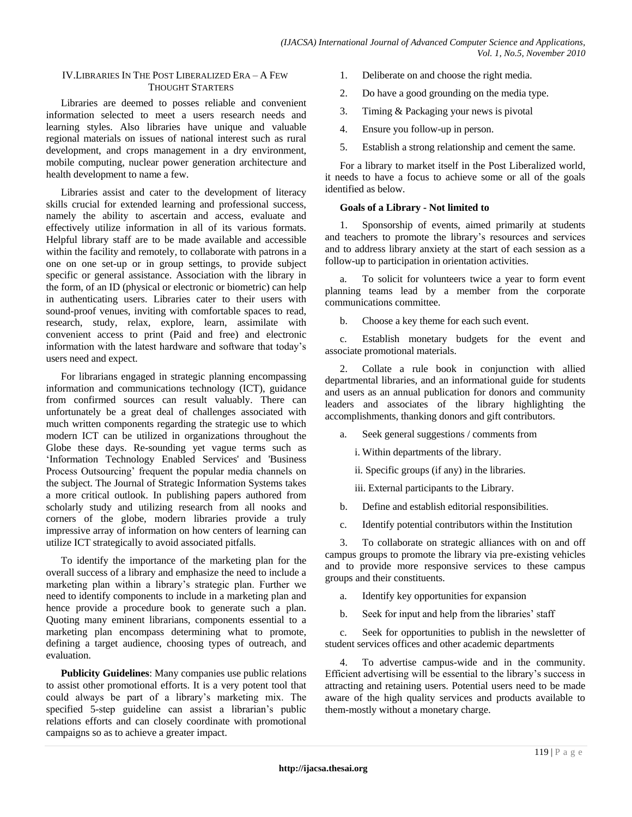### IV.LIBRARIES IN THE POST LIBERALIZED ERA – A FEW THOUGHT STARTERS

Libraries are deemed to posses reliable and convenient information selected to meet a users research needs and learning styles. Also libraries have unique and valuable regional materials on issues of national interest such as rural development, and crops management in a dry environment, mobile computing, nuclear power generation architecture and health development to name a few.

Libraries assist and cater to the development of literacy skills crucial for extended learning and professional success, namely the ability to ascertain and access, evaluate and effectively utilize information in all of its various formats. Helpful library staff are to be made available and accessible within the facility and remotely, to collaborate with patrons in a one on one set-up or in group settings, to provide subject specific or general assistance. Association with the library in the form, of an ID (physical or electronic or biometric) can help in authenticating users. Libraries cater to their users with sound-proof venues, inviting with comfortable spaces to read, research, study, relax, explore, learn, assimilate with convenient access to print (Paid and free) and electronic information with the latest hardware and software that today"s users need and expect.

For librarians engaged in strategic planning encompassing information and communications technology (ICT), guidance from confirmed sources can result valuably. There can unfortunately be a great deal of challenges associated with much written components regarding the strategic use to which modern ICT can be utilized in organizations throughout the Globe these days. Re-sounding yet vague terms such as "Information Technology Enabled Services' and 'Business Process Outsourcing' frequent the popular media channels on the subject. The Journal of Strategic Information Systems takes a more critical outlook. In publishing papers authored from scholarly study and utilizing research from all nooks and corners of the globe, modern libraries provide a truly impressive array of information on how centers of learning can utilize ICT strategically to avoid associated pitfalls.

To identify the importance of the marketing plan for the overall success of a library and emphasize the need to include a marketing plan within a library"s strategic plan. Further we need to identify components to include in a marketing plan and hence provide a procedure book to generate such a plan. Quoting many eminent librarians, components essential to a marketing plan encompass determining what to promote, defining a target audience, choosing types of outreach, and evaluation.

**Publicity Guidelines**: Many companies use public relations to assist other promotional efforts. It is a very potent tool that could always be part of a library"s marketing mix. The specified 5-step guideline can assist a librarian"s public relations efforts and can closely coordinate with promotional campaigns so as to achieve a greater impact.

- 1. Deliberate on and choose the right media.
- 2. Do have a good grounding on the media type.
- 3. Timing & Packaging your news is pivotal
- 4. Ensure you follow-up in person.
- 5. Establish a strong relationship and cement the same.

For a library to market itself in the Post Liberalized world, it needs to have a focus to achieve some or all of the goals identified as below.

#### **Goals of a Library - Not limited to**

1. Sponsorship of events, aimed primarily at students and teachers to promote the library"s resources and services and to address library anxiety at the start of each session as a follow-up to participation in orientation activities.

a. To solicit for volunteers twice a year to form event planning teams lead by a member from the corporate communications committee.

b. Choose a key theme for each such event.

c. Establish monetary budgets for the event and associate promotional materials.

2. Collate a rule book in conjunction with allied departmental libraries, and an informational guide for students and users as an annual publication for donors and community leaders and associates of the library highlighting the accomplishments, thanking donors and gift contributors.

a. Seek general suggestions / comments from

i. Within departments of the library.

ii. Specific groups (if any) in the libraries.

iii. External participants to the Library.

b. Define and establish editorial responsibilities.

c. Identify potential contributors within the Institution

3. To collaborate on strategic alliances with on and off campus groups to promote the library via pre-existing vehicles and to provide more responsive services to these campus groups and their constituents.

a. Identify key opportunities for expansion

b. Seek for input and help from the libraries' staff

c. Seek for opportunities to publish in the newsletter of student services offices and other academic departments

4. To advertise campus-wide and in the community. Efficient advertising will be essential to the library"s success in attracting and retaining users. Potential users need to be made aware of the high quality services and products available to them-mostly without a monetary charge.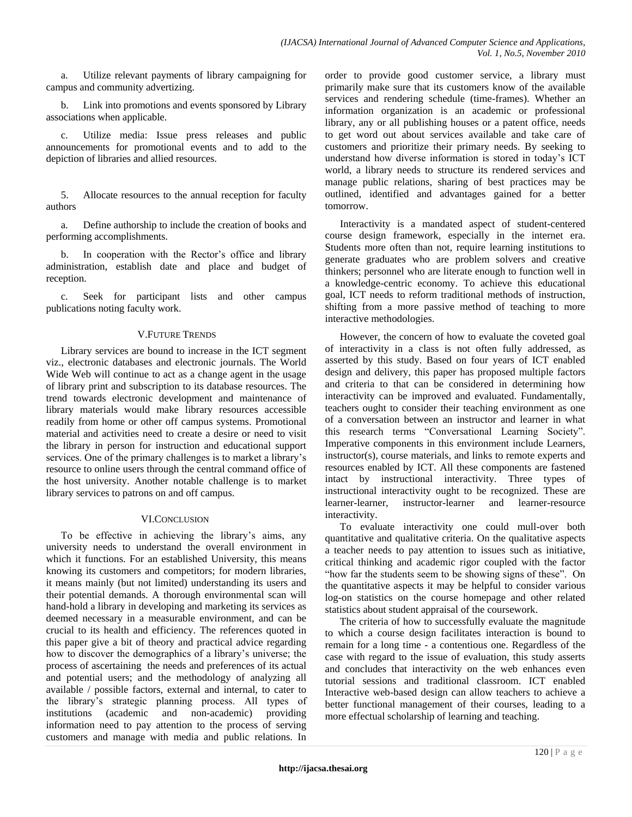a. Utilize relevant payments of library campaigning for campus and community advertizing.

b. Link into promotions and events sponsored by Library associations when applicable.

c. Utilize media: Issue press releases and public announcements for promotional events and to add to the depiction of libraries and allied resources.

5. Allocate resources to the annual reception for faculty authors

a. Define authorship to include the creation of books and performing accomplishments.

b. In cooperation with the Rector's office and library administration, establish date and place and budget of reception.

c. Seek for participant lists and other campus publications noting faculty work.

#### V.FUTURE TRENDS

Library services are bound to increase in the ICT segment viz., electronic databases and electronic journals. The World Wide Web will continue to act as a change agent in the usage of library print and subscription to its database resources. The trend towards electronic development and maintenance of library materials would make library resources accessible readily from home or other off campus systems. Promotional material and activities need to create a desire or need to visit the library in person for instruction and educational support services. One of the primary challenges is to market a library"s resource to online users through the central command office of the host university. Another notable challenge is to market library services to patrons on and off campus.

#### VI.CONCLUSION

To be effective in achieving the library"s aims, any university needs to understand the overall environment in which it functions. For an established University, this means knowing its customers and competitors; for modern libraries, it means mainly (but not limited) understanding its users and their potential demands. A thorough environmental scan will hand-hold a library in developing and marketing its services as deemed necessary in a measurable environment, and can be crucial to its health and efficiency. The references quoted in this paper give a bit of theory and practical advice regarding how to discover the demographics of a library's universe; the process of ascertaining the needs and preferences of its actual and potential users; and the methodology of analyzing all available / possible factors, external and internal, to cater to the library"s strategic planning process. All types of institutions (academic and non-academic) providing information need to pay attention to the process of serving customers and manage with media and public relations. In

order to provide good customer service, a library must primarily make sure that its customers know of the available services and rendering schedule (time-frames). Whether an information organization is an academic or professional library, any or all publishing houses or a patent office, needs to get word out about services available and take care of customers and prioritize their primary needs. By seeking to understand how diverse information is stored in today"s ICT world, a library needs to structure its rendered services and manage public relations, sharing of best practices may be outlined, identified and advantages gained for a better tomorrow.

Interactivity is a mandated aspect of student-centered course design framework, especially in the internet era. Students more often than not, require learning institutions to generate graduates who are problem solvers and creative thinkers; personnel who are literate enough to function well in a knowledge-centric economy. To achieve this educational goal, ICT needs to reform traditional methods of instruction, shifting from a more passive method of teaching to more interactive methodologies.

However, the concern of how to evaluate the coveted goal of interactivity in a class is not often fully addressed, as asserted by this study. Based on four years of ICT enabled design and delivery, this paper has proposed multiple factors and criteria to that can be considered in determining how interactivity can be improved and evaluated. Fundamentally, teachers ought to consider their teaching environment as one of a conversation between an instructor and learner in what this research terms "Conversational Learning Society". Imperative components in this environment include Learners, instructor(s), course materials, and links to remote experts and resources enabled by ICT. All these components are fastened intact by instructional interactivity. Three types of instructional interactivity ought to be recognized. These are learner-learner, instructor-learner and learner-resource interactivity.

To evaluate interactivity one could mull-over both quantitative and qualitative criteria. On the qualitative aspects a teacher needs to pay attention to issues such as initiative, critical thinking and academic rigor coupled with the factor "how far the students seem to be showing signs of these". On the quantitative aspects it may be helpful to consider various log-on statistics on the course homepage and other related statistics about student appraisal of the coursework.

The criteria of how to successfully evaluate the magnitude to which a course design facilitates interaction is bound to remain for a long time - a contentious one. Regardless of the case with regard to the issue of evaluation, this study asserts and concludes that interactivity on the web enhances even tutorial sessions and traditional classroom. ICT enabled Interactive web-based design can allow teachers to achieve a better functional management of their courses, leading to a more effectual scholarship of learning and teaching.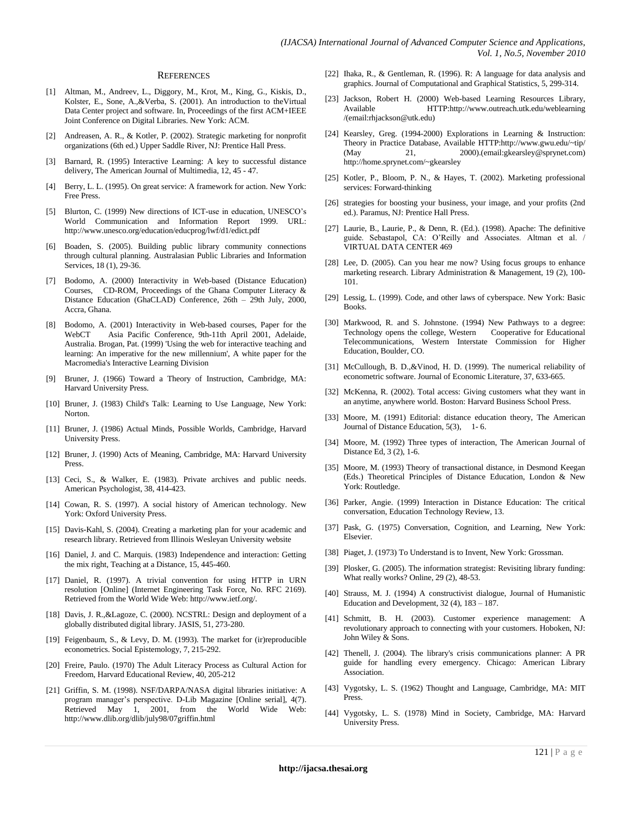#### **REFERENCES**

- [1] Altman, M., Andreev, L., Diggory, M., Krot, M., King, G., Kiskis, D., Kolster, E., Sone, A.,&Verba, S. (2001). An introduction to theVirtual Data Center project and software. In, Proceedings of the first ACM+IEEE Joint Conference on Digital Libraries. New York: ACM.
- [2] Andreasen, A. R., & Kotler, P. (2002). Strategic marketing for nonprofit organizations (6th ed.) Upper Saddle River, NJ: Prentice Hall Press.
- [3] Barnard, R. (1995) Interactive Learning: A key to successful distance delivery, The American Journal of Multimedia, 12, 45 - 47.
- [4] Berry, L. L. (1995). On great service: A framework for action. New York: Free Press.
- [5] Blurton, C. (1999) New directions of ICT-use in education, UNESCO"s World Communication and Information Report 1999. URL: http://www.unesco.org/education/educprog/lwf/d1/edict.pdf
- [6] Boaden, S. (2005). Building public library community connections through cultural planning. Australasian Public Libraries and Information Services, 18 (1), 29-36.
- [7] Bodomo, A. (2000) Interactivity in Web-based (Distance Education) Courses, CD-ROM, Proceedings of the Ghana Computer Literacy & Distance Education (GhaCLAD) Conference, 26th – 29th July, 2000, Accra, Ghana.
- [8] Bodomo, A. (2001) Interactivity in Web-based courses, Paper for the WebCT Asia Pacific Conference, 9th-11th April 2001, Adelaide, Australia. Brogan, Pat. (1999) 'Using the web for interactive teaching and learning: An imperative for the new millennium', A white paper for the Macromedia's Interactive Learning Division
- [9] Bruner, J. (1966) Toward a Theory of Instruction, Cambridge, MA: Harvard University Press.
- [10] Bruner, J. (1983) Child's Talk: Learning to Use Language, New York: Norton.
- [11] Bruner, J. (1986) Actual Minds, Possible Worlds, Cambridge, Harvard University Press.
- [12] Bruner, J. (1990) Acts of Meaning, Cambridge, MA: Harvard University Press.
- [13] Ceci, S., & Walker, E. (1983). Private archives and public needs. American Psychologist, 38, 414-423.
- [14] Cowan, R. S. (1997). A social history of American technology. New York: Oxford University Press.
- [15] Davis-Kahl, S. (2004). Creating a marketing plan for your academic and research library. Retrieved from Illinois Wesleyan University website
- [16] Daniel, J. and C. Marquis. (1983) Independence and interaction: Getting the mix right, Teaching at a Distance, 15, 445-460.
- [17] Daniel, R. (1997). A trivial convention for using HTTP in URN resolution [Online] (Internet Engineering Task Force, No. RFC 2169). Retrieved from the World Wide Web: http://www.ietf.org/.
- [18] Davis, J. R., & Lagoze, C. (2000). NCSTRL: Design and deployment of a globally distributed digital library. JASIS, 51, 273-280.
- [19] Feigenbaum, S., & Levy, D. M. (1993). The market for (ir)reproducible econometrics. Social Epistemology, 7, 215-292.
- [20] Freire, Paulo. (1970) The Adult Literacy Process as Cultural Action for Freedom, Harvard Educational Review, 40, 205-212
- [21] Griffin, S. M. (1998). NSF/DARPA/NASA digital libraries initiative: A program manager's perspective. D-Lib Magazine [Online serial], 4(7). Retrieved May 1, 2001, from the World Wide Web: http://www.dlib.org/dlib/july98/07griffin.html
- [22] Ihaka, R., & Gentleman, R. (1996). R: A language for data analysis and graphics. Journal of Computational and Graphical Statistics, 5, 299-314.
- [23] Jackson, Robert H. (2000) Web-based Learning Resources Library, Available HTTP:http://www.outreach.utk.edu/weblearning /(email:rhjackson@utk.edu)
- [24] Kearsley, Greg. (1994-2000) Explorations in Learning & Instruction: Theory in Practice Database, Available HTTP:http://www.gwu.edu/~tip/ (May 21, 2000).(email:gkearsley@sprynet.com) http://home.sprynet.com/~gkearsley
- [25] Kotler, P., Bloom, P. N., & Hayes, T. (2002). Marketing professional services: Forward-thinking
- [26] strategies for boosting your business, your image, and your profits (2nd ed.). Paramus, NJ: Prentice Hall Press.
- [27] Laurie, B., Laurie, P., & Denn, R. (Ed.). (1998). Apache: The definitive guide. Sebastapol, CA: O'Reilly and Associates. Altman et al. VIRTUAL DATA CENTER 469
- [28] Lee, D. (2005). Can you hear me now? Using focus groups to enhance marketing research. Library Administration & Management, 19 (2), 100- 101.
- [29] Lessig, L. (1999). Code, and other laws of cyberspace. New York: Basic Books.
- [30] Markwood, R. and S. Johnstone. (1994) New Pathways to a degree: Technology opens the college, Western Cooperative for Educational Telecommunications, Western Interstate Commission for Higher Education, Boulder, CO.
- [31] McCullough, B. D.,&Vinod, H. D. (1999). The numerical reliability of econometric software. Journal of Economic Literature, 37, 633-665.
- [32] McKenna, R. (2002). Total access: Giving customers what they want in an anytime, anywhere world. Boston: Harvard Business School Press.
- [33] Moore, M. (1991) Editorial: distance education theory, The American Journal of Distance Education, 5(3), 1- 6.
- [34] Moore, M. (1992) Three types of interaction, The American Journal of Distance Ed, 3 (2), 1-6.
- [35] Moore, M. (1993) Theory of transactional distance, in Desmond Keegan (Eds.) Theoretical Principles of Distance Education, London & New York: Routledge.
- [36] Parker, Angie. (1999) Interaction in Distance Education: The critical conversation, Education Technology Review, 13.
- [37] Pask, G. (1975) Conversation, Cognition, and Learning, New York: Elsevier.
- [38] Piaget, J. (1973) To Understand is to Invent, New York: Grossman.
- [39] Plosker, G. (2005). The information strategist: Revisiting library funding: What really works? Online, 29 (2), 48-53.
- [40] Strauss, M. J. (1994) A constructivist dialogue, Journal of Humanistic Education and Development,  $32(4)$ ,  $183 - 187$ .
- [41] Schmitt, B. H. (2003). Customer experience management: A revolutionary approach to connecting with your customers. Hoboken, NJ: John Wiley & Sons.
- [42] Thenell, J. (2004). The library's crisis communications planner: A PR guide for handling every emergency. Chicago: American Library Association.
- [43] Vygotsky, L. S. (1962) Thought and Language, Cambridge, MA: MIT Press.
- [44] Vygotsky, L. S. (1978) Mind in Society, Cambridge, MA: Harvard University Press.